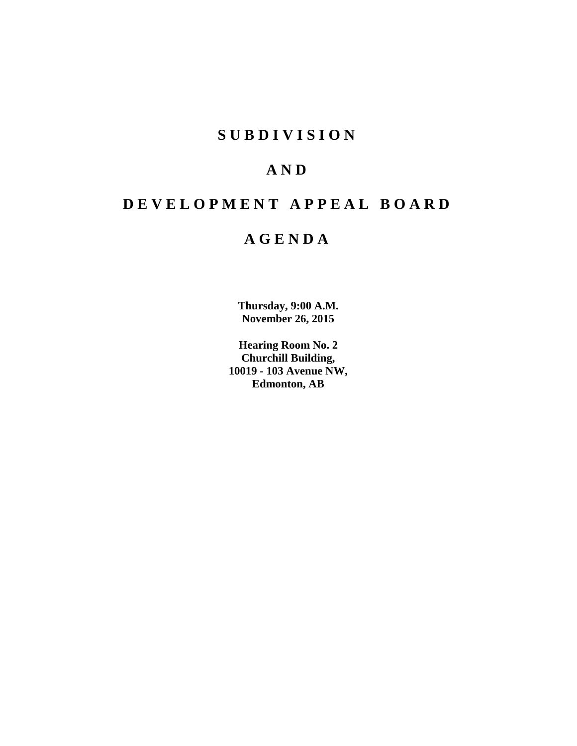# **S U B D I V I S I O N**

# **A N D**

# **D E V E L O P M E N T A P P E A L B O A R D**

# **A G E N D A**

**Thursday, 9:00 A.M. November 26, 2015**

**Hearing Room No. 2 Churchill Building, 10019 - 103 Avenue NW, Edmonton, AB**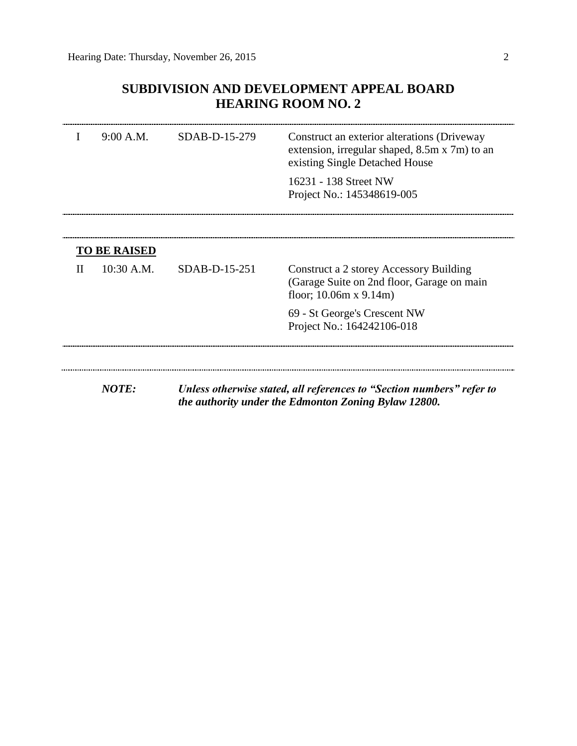## **SUBDIVISION AND DEVELOPMENT APPEAL BOARD HEARING ROOM NO. 2**

|              | 9:00 A.M.           | SDAB-D-15-279 | Construct an exterior alterations (Driveway<br>extension, irregular shaped, 8.5m x 7m) to an<br>existing Single Detached House |
|--------------|---------------------|---------------|--------------------------------------------------------------------------------------------------------------------------------|
|              |                     |               | 16231 - 138 Street NW<br>Project No.: 145348619-005                                                                            |
|              | <b>TO BE RAISED</b> |               |                                                                                                                                |
| $\mathbf{H}$ | $10:30$ A.M.        | SDAB-D-15-251 | Construct a 2 storey Accessory Building<br>(Garage Suite on 2nd floor, Garage on main<br>floor; $10.06m \times 9.14m$ )        |
|              |                     |               | 69 - St George's Crescent NW<br>Project No.: 164242106-018                                                                     |
|              |                     |               |                                                                                                                                |
|              | <b>NOTE:</b>        |               | Unless otherwise stated, all references to "Section numbers" refer to<br>the authority under the Edmonton Zoning Bylaw 12800.  |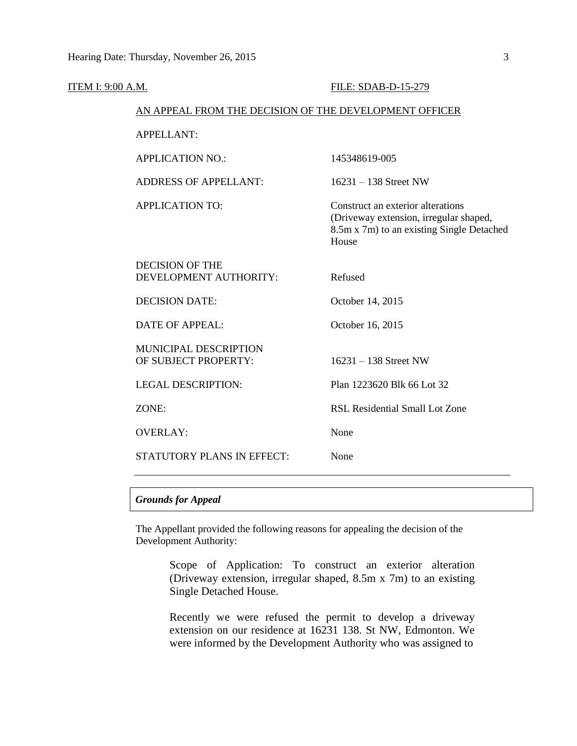| <b>ITEM I: 9:00 A.M.</b> |                                                        | FILE: SDAB-D-15-279                                                                                                               |
|--------------------------|--------------------------------------------------------|-----------------------------------------------------------------------------------------------------------------------------------|
|                          | AN APPEAL FROM THE DECISION OF THE DEVELOPMENT OFFICER |                                                                                                                                   |
|                          | <b>APPELLANT:</b>                                      |                                                                                                                                   |
|                          | <b>APPLICATION NO.:</b>                                | 145348619-005                                                                                                                     |
|                          | <b>ADDRESS OF APPELLANT:</b>                           | $16231 - 138$ Street NW                                                                                                           |
|                          | <b>APPLICATION TO:</b>                                 | Construct an exterior alterations<br>(Driveway extension, irregular shaped,<br>8.5m x 7m) to an existing Single Detached<br>House |
|                          | <b>DECISION OF THE</b><br>DEVELOPMENT AUTHORITY:       | Refused                                                                                                                           |
|                          | <b>DECISION DATE:</b>                                  | October 14, 2015                                                                                                                  |
|                          | <b>DATE OF APPEAL:</b>                                 | October 16, 2015                                                                                                                  |
|                          | MUNICIPAL DESCRIPTION<br>OF SUBJECT PROPERTY:          | $16231 - 138$ Street NW                                                                                                           |
|                          | <b>LEGAL DESCRIPTION:</b>                              | Plan 1223620 Blk 66 Lot 32                                                                                                        |
|                          | ZONE:                                                  | <b>RSL Residential Small Lot Zone</b>                                                                                             |
|                          | <b>OVERLAY:</b>                                        | None                                                                                                                              |
|                          | <b>STATUTORY PLANS IN EFFECT:</b>                      | None                                                                                                                              |
|                          |                                                        |                                                                                                                                   |

## *Grounds for Appeal*

The Appellant provided the following reasons for appealing the decision of the Development Authority:

> Scope of Application: To construct an exterior alteration (Driveway extension, irregular shaped, 8.5m x 7m) to an existing Single Detached House.

> Recently we were refused the permit to develop a driveway extension on our residence at 16231 138. St NW, Edmonton. We were informed by the Development Authority who was assigned to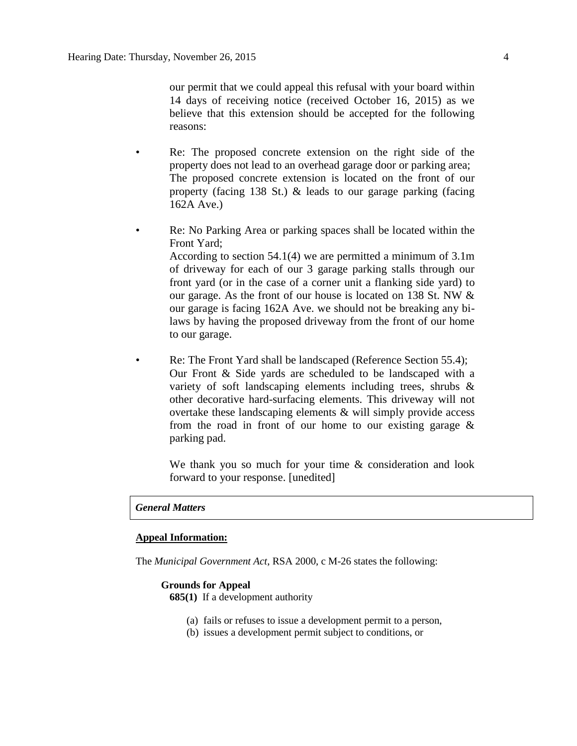our permit that we could appeal this refusal with your board within 14 days of receiving notice (received October 16, 2015) as we believe that this extension should be accepted for the following reasons:

- Re: The proposed concrete extension on the right side of the property does not lead to an overhead garage door or parking area; The proposed concrete extension is located on the front of our property (facing 138 St.) & leads to our garage parking (facing 162A Ave.)
- Re: No Parking Area or parking spaces shall be located within the Front Yard;

According to section 54.1(4) we are permitted a minimum of 3.1m of driveway for each of our 3 garage parking stalls through our front yard (or in the case of a corner unit a flanking side yard) to our garage. As the front of our house is located on 138 St. NW & our garage is facing 162A Ave. we should not be breaking any bilaws by having the proposed driveway from the front of our home to our garage.

Re: The Front Yard shall be landscaped (Reference Section 55.4); Our Front & Side yards are scheduled to be landscaped with a variety of soft landscaping elements including trees, shrubs & other decorative hard-surfacing elements. This driveway will not overtake these landscaping elements & will simply provide access from the road in front of our home to our existing garage  $\&$ parking pad.

We thank you so much for your time & consideration and look forward to your response. [unedited]

## *General Matters*

## **Appeal Information:**

The *Municipal Government Act*, RSA 2000, c M-26 states the following:

## **Grounds for Appeal**

- **685(1)** If a development authority
	- (a) fails or refuses to issue a development permit to a person,
	- (b) issues a development permit subject to conditions, or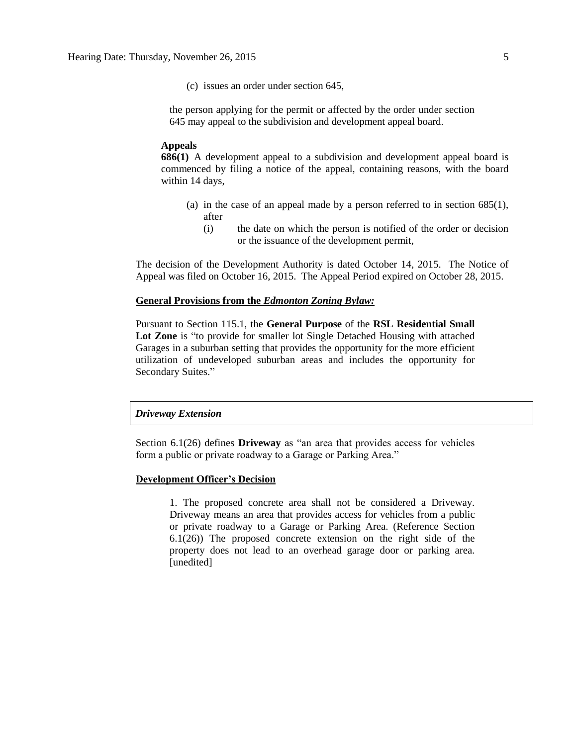(c) issues an order under section 645,

the person applying for the permit or affected by the order under section 645 may appeal to the subdivision and development appeal board.

#### **Appeals**

**686(1)** A development appeal to a subdivision and development appeal board is commenced by filing a notice of the appeal, containing reasons, with the board within 14 days,

- (a) in the case of an appeal made by a person referred to in section 685(1), after
	- (i) the date on which the person is notified of the order or decision or the issuance of the development permit,

The decision of the Development Authority is dated October 14, 2015. The Notice of Appeal was filed on October 16, 2015. The Appeal Period expired on October 28, 2015.

## **General Provisions from the** *Edmonton Zoning Bylaw:*

Pursuant to Section 115.1, the **General Purpose** of the **RSL Residential Small**  Lot Zone is "to provide for smaller lot Single Detached Housing with attached Garages in a suburban setting that provides the opportunity for the more efficient utilization of undeveloped suburban areas and includes the opportunity for Secondary Suites."

## *Driveway Extension*

Section 6.1(26) defines **Driveway** as "an area that provides access for vehicles form a public or private roadway to a Garage or Parking Area."

## **Development Officer's Decision**

1. The proposed concrete area shall not be considered a Driveway. Driveway means an area that provides access for vehicles from a public or private roadway to a Garage or Parking Area. (Reference Section 6.1(26)) The proposed concrete extension on the right side of the property does not lead to an overhead garage door or parking area. [unedited]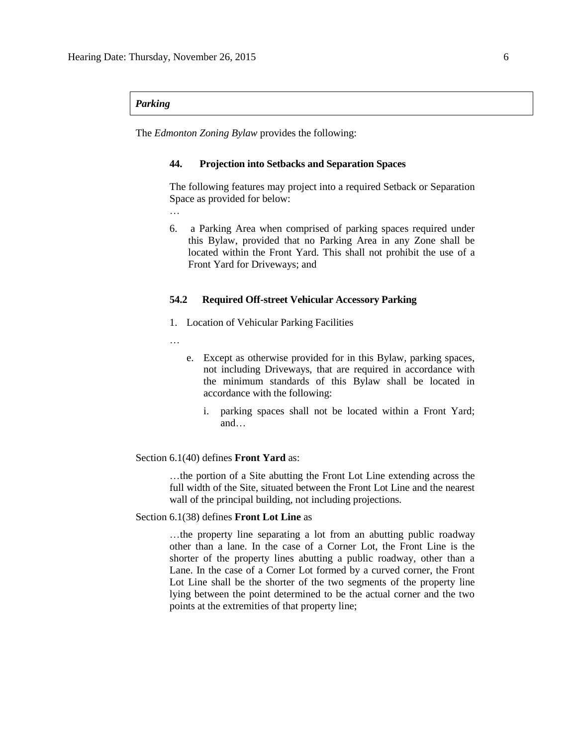### *Parking*

The *Edmonton Zoning Bylaw* provides the following:

#### **44. Projection into Setbacks and Separation Spaces**

The following features may project into a required Setback or Separation Space as provided for below:

- …
- 6. a Parking Area when comprised of parking spaces required under this Bylaw, provided that no Parking Area in any Zone shall be located within the Front Yard. This shall not prohibit the use of a Front Yard for Driveways; and

## **54.2 Required Off-street Vehicular Accessory Parking**

- 1. Location of Vehicular Parking Facilities
- …
- e. Except as otherwise provided for in this Bylaw, parking spaces, not including Driveways, that are required in accordance with the minimum standards of this Bylaw shall be located in accordance with the following:
	- i. parking spaces shall not be located within a Front Yard; and…

## Section 6.1(40) defines **Front Yard** as:

…the portion of a Site abutting the Front Lot Line extending across the full width of the Site, situated between the Front Lot Line and the nearest wall of the principal building, not including projections.

#### Section 6.1(38) defines **Front Lot Line** as

…the property line separating a lot from an abutting public roadway other than a lane. In the case of a Corner Lot, the Front Line is the shorter of the property lines abutting a public roadway, other than a Lane. In the case of a Corner Lot formed by a curved corner, the Front Lot Line shall be the shorter of the two segments of the property line lying between the point determined to be the actual corner and the two points at the extremities of that property line;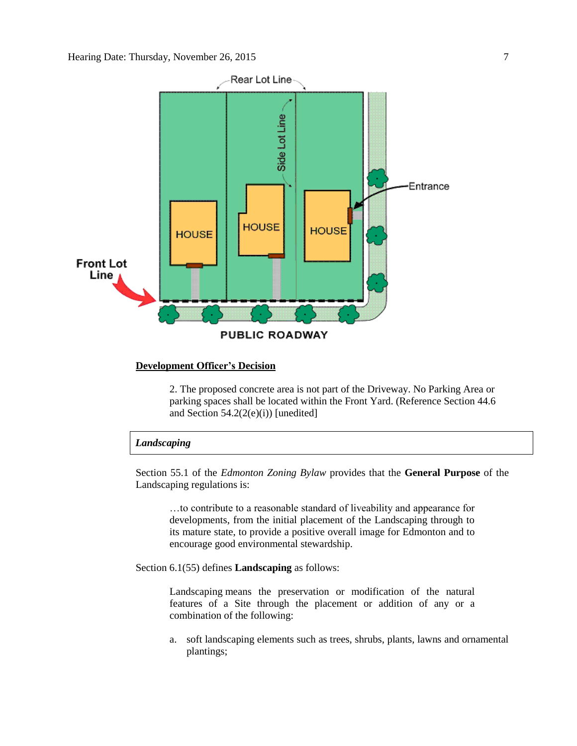

#### **Development Officer's Decision**

2. The proposed concrete area is not part of the Driveway. No Parking Area or parking spaces shall be located within the Front Yard. (Reference Section 44.6 and Section  $54.2(2(e)(i))$  [unedited]

## *Landscaping*

Section 55.1 of the *Edmonton Zoning Bylaw* provides that the **General Purpose** of the Landscaping regulations is:

…to contribute to a reasonable standard of liveability and appearance for developments, from the initial placement of the Landscaping through to its mature state, to provide a positive overall image for Edmonton and to encourage good environmental stewardship.

Section 6.1(55) defines **Landscaping** as follows:

Landscaping means the preservation or modification of the natural features of a Site through the placement or addition of any or a combination of the following:

a. soft landscaping elements such as trees, shrubs, plants, lawns and ornamental plantings;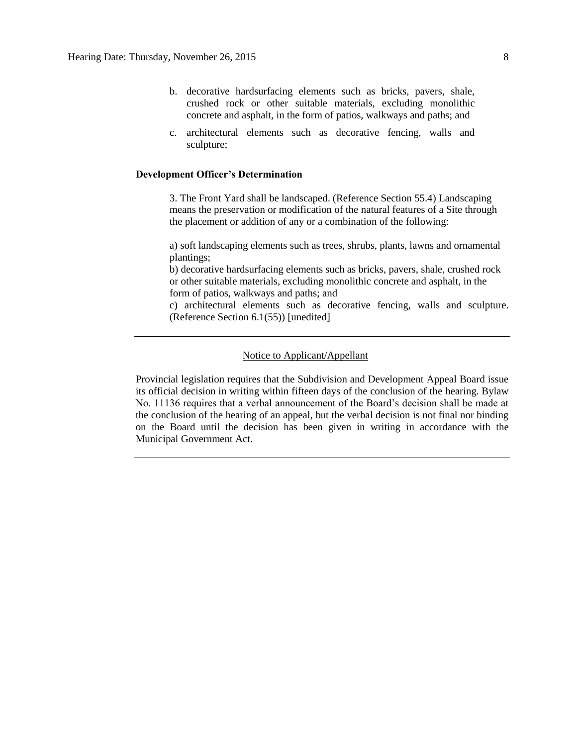- b. decorative hardsurfacing elements such as bricks, pavers, shale, crushed rock or other suitable materials, excluding monolithic concrete and asphalt, in the form of patios, walkways and paths; and
- c. architectural elements such as decorative fencing, walls and sculpture;

## **Development Officer's Determination**

3. The Front Yard shall be landscaped. (Reference Section 55.4) Landscaping means the preservation or modification of the natural features of a Site through the placement or addition of any or a combination of the following:

a) soft landscaping elements such as trees, shrubs, plants, lawns and ornamental plantings;

b) decorative hardsurfacing elements such as bricks, pavers, shale, crushed rock or other suitable materials, excluding monolithic concrete and asphalt, in the form of patios, walkways and paths; and

c) architectural elements such as decorative fencing, walls and sculpture. (Reference Section 6.1(55)) [unedited]

## Notice to Applicant/Appellant

Provincial legislation requires that the Subdivision and Development Appeal Board issue its official decision in writing within fifteen days of the conclusion of the hearing. Bylaw No. 11136 requires that a verbal announcement of the Board's decision shall be made at the conclusion of the hearing of an appeal, but the verbal decision is not final nor binding on the Board until the decision has been given in writing in accordance with the Municipal Government Act.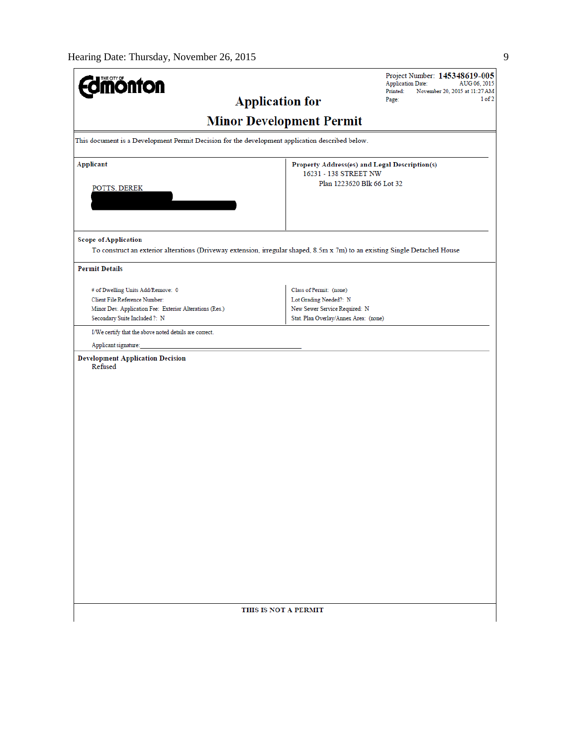| <b>dimönton</b>                                                                                                             |                                                                        | Project Number: 145348619-005<br><b>Application Date:</b><br>AUG 06, 2015 |
|-----------------------------------------------------------------------------------------------------------------------------|------------------------------------------------------------------------|---------------------------------------------------------------------------|
| <b>Application for</b>                                                                                                      |                                                                        | Printed:<br>November 20, 2015 at 11:27 AM<br>1 of 2<br>Page:              |
|                                                                                                                             | <b>Minor Development Permit</b>                                        |                                                                           |
| This document is a Development Permit Decision for the development application described below.                             |                                                                        |                                                                           |
| <b>Applicant</b>                                                                                                            | Property Address(es) and Legal Description(s)<br>16231 - 138 STREET NW |                                                                           |
| POTTS, DEREK                                                                                                                | Plan 1223620 Blk 66 Lot 32                                             |                                                                           |
|                                                                                                                             |                                                                        |                                                                           |
|                                                                                                                             |                                                                        |                                                                           |
| <b>Scope of Application</b>                                                                                                 |                                                                        |                                                                           |
| To construct an exterior alterations (Driveway extension, irregular shaped, 8.5m x 7m) to an existing Single Detached House |                                                                        |                                                                           |
| <b>Permit Details</b>                                                                                                       |                                                                        |                                                                           |
| # of Dwelling Units Add/Remove: 0                                                                                           | Class of Permit: (none)                                                |                                                                           |
| Client File Reference Number:                                                                                               | Lot Grading Needed?: N                                                 |                                                                           |
| Minor Dev. Application Fee: Exterior Alterations (Res.)                                                                     | New Sewer Service Required: N<br>Stat. Plan Overlay/Annex Area: (none) |                                                                           |
| Secondary Suite Included ?: N                                                                                               |                                                                        |                                                                           |
| I/We certify that the above noted details are correct.                                                                      |                                                                        |                                                                           |
| Applicant signature:                                                                                                        |                                                                        |                                                                           |
| <b>Development Application Decision</b><br>Refused                                                                          |                                                                        |                                                                           |
|                                                                                                                             |                                                                        |                                                                           |
|                                                                                                                             |                                                                        |                                                                           |
|                                                                                                                             |                                                                        |                                                                           |
|                                                                                                                             |                                                                        |                                                                           |
|                                                                                                                             |                                                                        |                                                                           |
|                                                                                                                             |                                                                        |                                                                           |
|                                                                                                                             |                                                                        |                                                                           |
|                                                                                                                             |                                                                        |                                                                           |
|                                                                                                                             |                                                                        |                                                                           |
|                                                                                                                             |                                                                        |                                                                           |
|                                                                                                                             |                                                                        |                                                                           |
|                                                                                                                             |                                                                        |                                                                           |
|                                                                                                                             |                                                                        |                                                                           |
|                                                                                                                             |                                                                        |                                                                           |
|                                                                                                                             |                                                                        |                                                                           |
|                                                                                                                             |                                                                        |                                                                           |
|                                                                                                                             |                                                                        |                                                                           |
|                                                                                                                             |                                                                        |                                                                           |
|                                                                                                                             |                                                                        |                                                                           |
|                                                                                                                             |                                                                        |                                                                           |
|                                                                                                                             | THIS IS NOT A PERMIT                                                   |                                                                           |
|                                                                                                                             |                                                                        |                                                                           |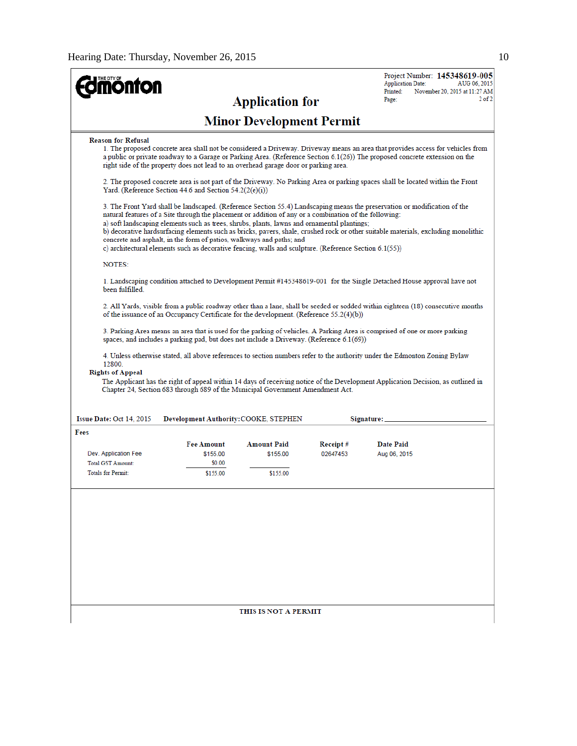| <b>nonton</b>                                                                 |                                                                                                                                                                                                                                                                                                                                                                                         | <b>Application for</b>                     |                      | Project Number: 145348619-005<br><b>Application Date:</b><br>AUG 06, 2015<br>Printed:<br>November 20, 2015 at 11:27 AM<br>$2$ of $2$<br>Page:                                                                                                                                |  |
|-------------------------------------------------------------------------------|-----------------------------------------------------------------------------------------------------------------------------------------------------------------------------------------------------------------------------------------------------------------------------------------------------------------------------------------------------------------------------------------|--------------------------------------------|----------------------|------------------------------------------------------------------------------------------------------------------------------------------------------------------------------------------------------------------------------------------------------------------------------|--|
|                                                                               |                                                                                                                                                                                                                                                                                                                                                                                         | <b>Minor Development Permit</b>            |                      |                                                                                                                                                                                                                                                                              |  |
| <b>Reason for Refusal</b>                                                     | right side of the property does not lead to an overhead garage door or parking area.                                                                                                                                                                                                                                                                                                    |                                            |                      | 1. The proposed concrete area shall not be considered a Driveway. Driveway means an area that provides access for vehicles from<br>a public or private roadway to a Garage or Parking Area. (Reference Section 6.1(26)) The proposed concrete extension on the               |  |
|                                                                               | 2. The proposed concrete area is not part of the Driveway. No Parking Area or parking spaces shall be located within the Front<br>Yard. (Reference Section 44.6 and Section $54.2(2(e)(i))$ )                                                                                                                                                                                           |                                            |                      |                                                                                                                                                                                                                                                                              |  |
|                                                                               | natural features of a Site through the placement or addition of any or a combination of the following:<br>a) soft landscaping elements such as trees, shrubs, plants, lawns and ornamental plantings;<br>concrete and asphalt, in the form of patios, walkways and paths; and<br>c) architectural elements such as decorative fencing, walls and sculpture. (Reference Section 6.1(55)) |                                            |                      | 3. The Front Yard shall be landscaped. (Reference Section 55.4) Landscaping means the preservation or modification of the<br>b) decorative hardsurfacing elements such as bricks, pavers, shale, crushed rock or other suitable materials, excluding monolithic              |  |
| <b>NOTES:</b>                                                                 |                                                                                                                                                                                                                                                                                                                                                                                         |                                            |                      |                                                                                                                                                                                                                                                                              |  |
| been fulfilled.                                                               |                                                                                                                                                                                                                                                                                                                                                                                         |                                            |                      | 1. Landscaping condition attached to Development Permit #145348619-001 for the Single Detached House approval have not                                                                                                                                                       |  |
|                                                                               | of the issuance of an Occupancy Certificate for the development. (Reference 55.2(4)(b))                                                                                                                                                                                                                                                                                                 |                                            |                      | 2. All Yards, visible from a public roadway other than a lane, shall be seeded or sodded within eighteen (18) consecutive months                                                                                                                                             |  |
|                                                                               | spaces, and includes a parking pad, but does not include a Driveway. (Reference $6.1(69)$ )                                                                                                                                                                                                                                                                                             |                                            |                      | 3. Parking Area means an area that is used for the parking of vehicles. A Parking Area is comprised of one or more parking                                                                                                                                                   |  |
| 12800.<br><b>Rights of Appeal</b><br>Issue Date: Oct 14, 2015                 | Chapter 24, Section 683 through 689 of the Municipal Government Amendment Act.<br>Development Authority: COOKE, STEPHEN                                                                                                                                                                                                                                                                 |                                            |                      | 4. Unless otherwise stated, all above references to section numbers refer to the authority under the Edmonton Zoning Bylaw<br>The Applicant has the right of appeal within 14 days of receiving notice of the Development Application Decision, as outlined in<br>Signature: |  |
| Fees                                                                          |                                                                                                                                                                                                                                                                                                                                                                                         |                                            |                      |                                                                                                                                                                                                                                                                              |  |
| Dev. Application Fee<br><b>Total GST Amount:</b><br><b>Totals for Permit:</b> | <b>Fee Amount</b><br>\$155.00<br>\$0.00<br>\$155.00                                                                                                                                                                                                                                                                                                                                     | <b>Amount Paid</b><br>\$155.00<br>\$155.00 | Receipt#<br>02647453 | Date Paid<br>Aug 06, 2015                                                                                                                                                                                                                                                    |  |
|                                                                               |                                                                                                                                                                                                                                                                                                                                                                                         |                                            |                      |                                                                                                                                                                                                                                                                              |  |
|                                                                               |                                                                                                                                                                                                                                                                                                                                                                                         | THIS IS NOT A PERMIT                       |                      |                                                                                                                                                                                                                                                                              |  |
|                                                                               |                                                                                                                                                                                                                                                                                                                                                                                         |                                            |                      |                                                                                                                                                                                                                                                                              |  |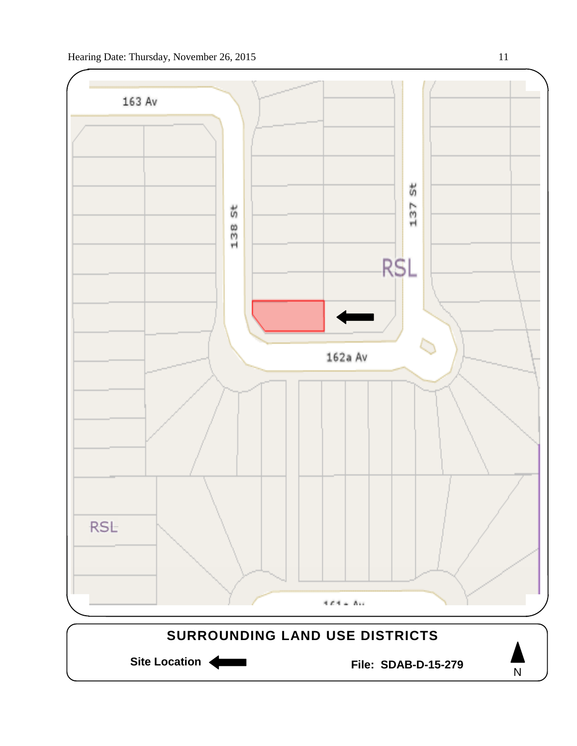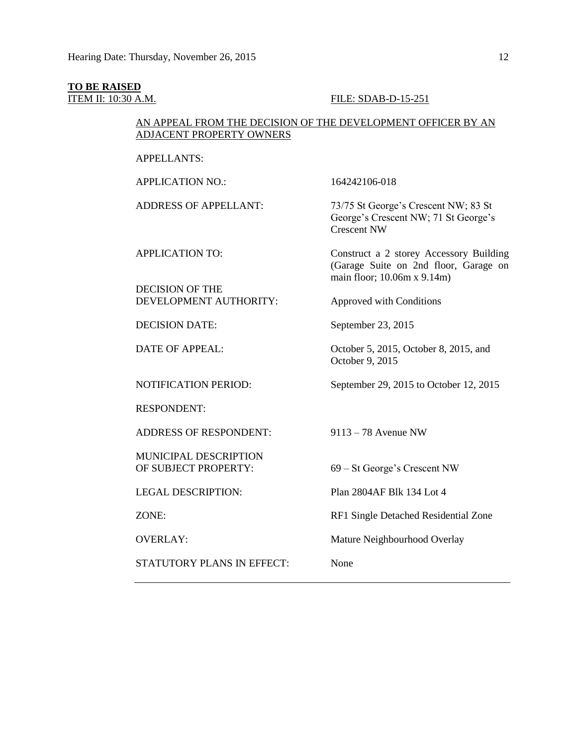#### **TO BE RAISED**

## ITEM II: 10:30 A.M. FILE: SDAB-D-15-251

## AN APPEAL FROM THE DECISION OF THE DEVELOPMENT OFFICER BY AN ADJACENT PROPERTY OWNERS

APPELLANTS:

APPLICATION NO.: 164242106-018

DECISION OF THE DEVELOPMENT AUTHORITY: Approved with Conditions

RESPONDENT:

ADDRESS OF RESPONDENT: 9113 – 78 Avenue NW

MUNICIPAL DESCRIPTION OF SUBJECT PROPERTY: 69 – St George's Crescent NW

STATUTORY PLANS IN EFFECT: None

ADDRESS OF APPELLANT: 73/75 St George's Crescent NW; 83 St George's Crescent NW; 71 St George's Crescent NW

APPLICATION TO: Construct a 2 storey Accessory Building (Garage Suite on 2nd floor, Garage on main floor; 10.06m x 9.14m)

DECISION DATE: September 23, 2015

DATE OF APPEAL: October 5, 2015, October 8, 2015, and October 9, 2015

NOTIFICATION PERIOD: September 29, 2015 to October 12, 2015

LEGAL DESCRIPTION: Plan 2804AF Blk 134 Lot 4

ZONE: RF1 Single Detached Residential Zone

OVERLAY: Mature Neighbourhood Overlay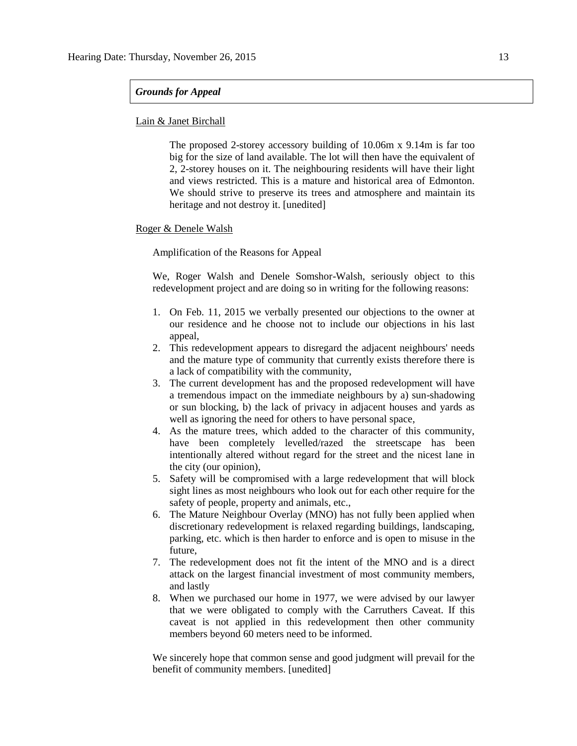## *Grounds for Appeal*

## Lain & Janet Birchall

The proposed 2-storey accessory building of 10.06m x 9.14m is far too big for the size of land available. The lot will then have the equivalent of 2, 2-storey houses on it. The neighbouring residents will have their light and views restricted. This is a mature and historical area of Edmonton. We should strive to preserve its trees and atmosphere and maintain its heritage and not destroy it. [unedited]

## Roger & Denele Walsh

## Amplification of the Reasons for Appeal

We, Roger Walsh and Denele Somshor-Walsh, seriously object to this redevelopment project and are doing so in writing for the following reasons:

- 1. On Feb. 11, 2015 we verbally presented our objections to the owner at our residence and he choose not to include our objections in his last appeal,
- 2. This redevelopment appears to disregard the adjacent neighbours' needs and the mature type of community that currently exists therefore there is a lack of compatibility with the community,
- 3. The current development has and the proposed redevelopment will have a tremendous impact on the immediate neighbours by a) sun-shadowing or sun blocking, b) the lack of privacy in adjacent houses and yards as well as ignoring the need for others to have personal space,
- 4. As the mature trees, which added to the character of this community, have been completely levelled/razed the streetscape has been intentionally altered without regard for the street and the nicest lane in the city (our opinion),
- 5. Safety will be compromised with a large redevelopment that will block sight lines as most neighbours who look out for each other require for the safety of people, property and animals, etc.,
- 6. The Mature Neighbour Overlay (MNO) has not fully been applied when discretionary redevelopment is relaxed regarding buildings, landscaping, parking, etc. which is then harder to enforce and is open to misuse in the future,
- 7. The redevelopment does not fit the intent of the MNO and is a direct attack on the largest financial investment of most community members, and lastly
- 8. When we purchased our home in 1977, we were advised by our lawyer that we were obligated to comply with the Carruthers Caveat. If this caveat is not applied in this redevelopment then other community members beyond 60 meters need to be informed.

We sincerely hope that common sense and good judgment will prevail for the benefit of community members. [unedited]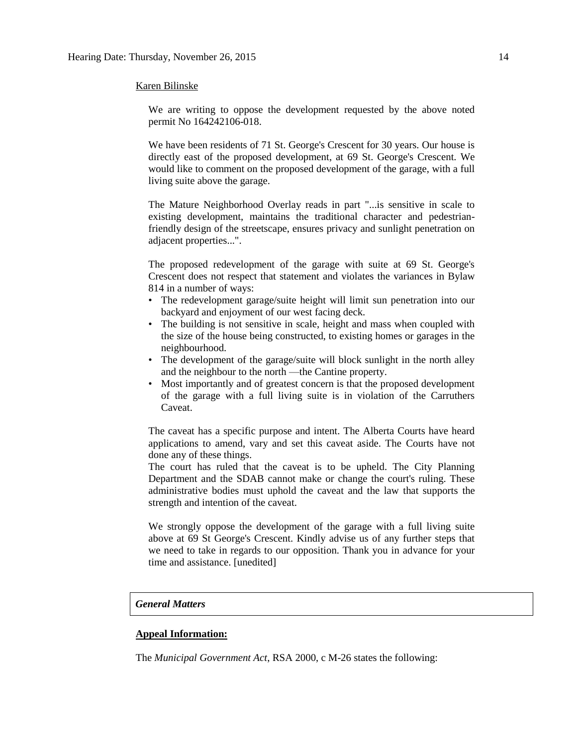#### Karen Bilinske

We are writing to oppose the development requested by the above noted permit No 164242106-018.

We have been residents of 71 St. George's Crescent for 30 years. Our house is directly east of the proposed development, at 69 St. George's Crescent. We would like to comment on the proposed development of the garage, with a full living suite above the garage.

The Mature Neighborhood Overlay reads in part "...is sensitive in scale to existing development, maintains the traditional character and pedestrianfriendly design of the streetscape, ensures privacy and sunlight penetration on adjacent properties...".

The proposed redevelopment of the garage with suite at 69 St. George's Crescent does not respect that statement and violates the variances in Bylaw 814 in a number of ways:

- The redevelopment garage/suite height will limit sun penetration into our backyard and enjoyment of our west facing deck.
- The building is not sensitive in scale, height and mass when coupled with the size of the house being constructed, to existing homes or garages in the neighbourhood.
- The development of the garage/suite will block sunlight in the north alley and the neighbour to the north —the Cantine property.
- Most importantly and of greatest concern is that the proposed development of the garage with a full living suite is in violation of the Carruthers Caveat.

The caveat has a specific purpose and intent. The Alberta Courts have heard applications to amend, vary and set this caveat aside. The Courts have not done any of these things.

The court has ruled that the caveat is to be upheld. The City Planning Department and the SDAB cannot make or change the court's ruling. These administrative bodies must uphold the caveat and the law that supports the strength and intention of the caveat.

We strongly oppose the development of the garage with a full living suite above at 69 St George's Crescent. Kindly advise us of any further steps that we need to take in regards to our opposition. Thank you in advance for your time and assistance. [unedited]

#### *General Matters*

## **Appeal Information:**

The *Municipal Government Act*, RSA 2000, c M-26 states the following: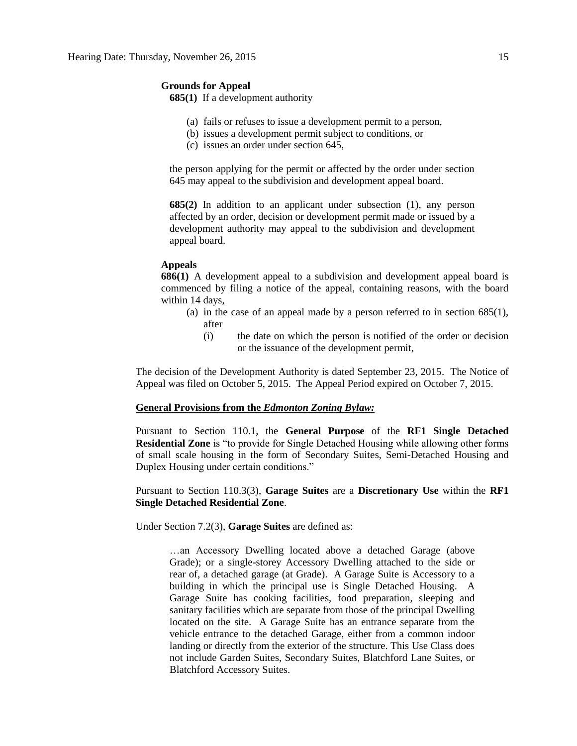## **Grounds for Appeal**

**685(1)** If a development authority

- (a) fails or refuses to issue a development permit to a person,
- (b) issues a development permit subject to conditions, or
- (c) issues an order under section 645,

the person applying for the permit or affected by the order under section 645 may appeal to the subdivision and development appeal board.

**685(2)** In addition to an applicant under subsection (1), any person affected by an order, decision or development permit made or issued by a development authority may appeal to the subdivision and development appeal board.

## **Appeals**

**686(1)** A development appeal to a subdivision and development appeal board is commenced by filing a notice of the appeal, containing reasons, with the board within 14 days,

- (a) in the case of an appeal made by a person referred to in section 685(1), after
	- (i) the date on which the person is notified of the order or decision or the issuance of the development permit,

The decision of the Development Authority is dated September 23, 2015. The Notice of Appeal was filed on October 5, 2015. The Appeal Period expired on October 7, 2015.

#### **General Provisions from the** *Edmonton Zoning Bylaw:*

Pursuant to Section 110.1, the **General Purpose** of the **RF1 Single Detached Residential Zone** is "to provide for Single Detached Housing while allowing other forms of small scale housing in the form of Secondary Suites, Semi-Detached Housing and Duplex Housing under certain conditions."

## Pursuant to Section 110.3(3), **Garage Suites** are a **Discretionary Use** within the **RF1 Single Detached Residential Zone**.

Under Section 7.2(3), **Garage Suites** are defined as:

…an Accessory Dwelling located above a detached Garage (above Grade); or a single-storey Accessory Dwelling attached to the side or rear of, a detached garage (at Grade). A Garage Suite is Accessory to a building in which the principal use is Single Detached Housing. A Garage Suite has cooking facilities, food preparation, sleeping and sanitary facilities which are separate from those of the principal Dwelling located on the site. A Garage Suite has an entrance separate from the vehicle entrance to the detached Garage, either from a common indoor landing or directly from the exterior of the structure. This Use Class does not include Garden Suites, Secondary Suites, Blatchford Lane Suites, or Blatchford Accessory Suites.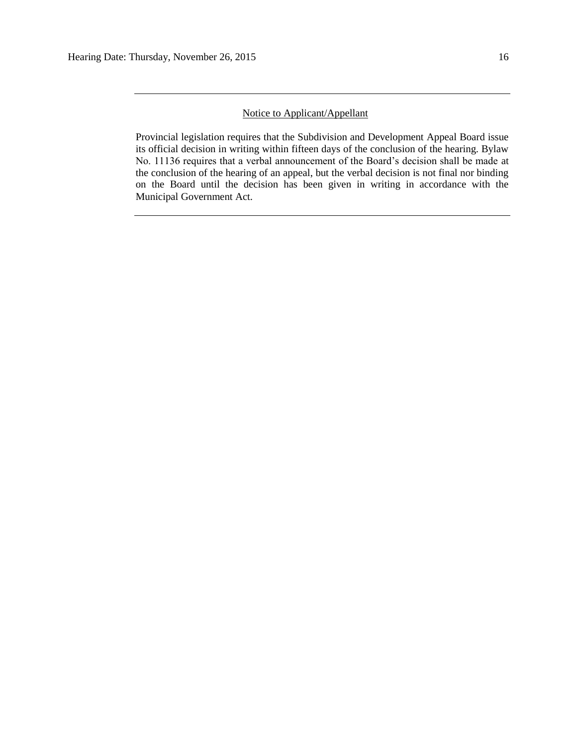## Notice to Applicant/Appellant

Provincial legislation requires that the Subdivision and Development Appeal Board issue its official decision in writing within fifteen days of the conclusion of the hearing. Bylaw No. 11136 requires that a verbal announcement of the Board's decision shall be made at the conclusion of the hearing of an appeal, but the verbal decision is not final nor binding on the Board until the decision has been given in writing in accordance with the Municipal Government Act.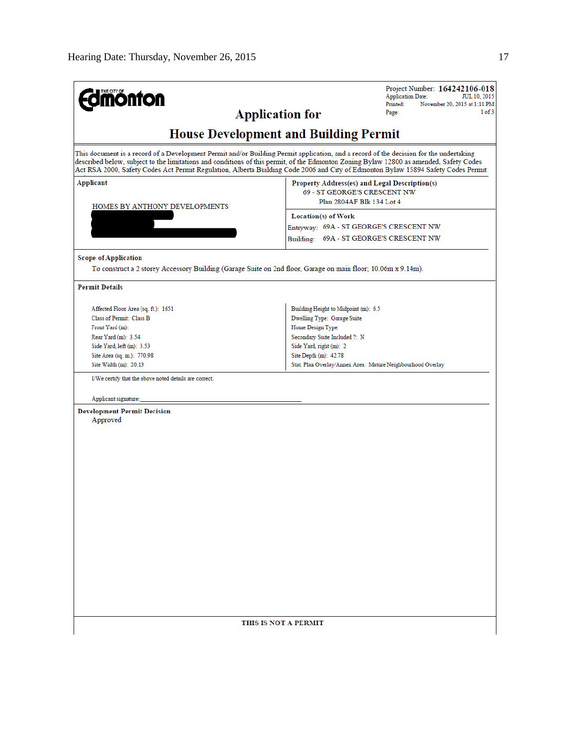| <b>monton</b>                                                                                                                                                                                                                                                                                                                                                                                                         | Project Number: 164242106-018<br><b>Application Date:</b><br><b>JUL 10, 2015</b><br>Printed:<br>November 20, 2015 at 1:11 PM |  |  |
|-----------------------------------------------------------------------------------------------------------------------------------------------------------------------------------------------------------------------------------------------------------------------------------------------------------------------------------------------------------------------------------------------------------------------|------------------------------------------------------------------------------------------------------------------------------|--|--|
| <b>Application for</b>                                                                                                                                                                                                                                                                                                                                                                                                | 1 of 3<br>Page:                                                                                                              |  |  |
| <b>House Development and Building Permit</b>                                                                                                                                                                                                                                                                                                                                                                          |                                                                                                                              |  |  |
| This document is a record of a Development Permit and/or Building Permit application, and a record of the decision for the undertaking<br>described below, subject to the limitations and conditions of this permit, of the Edmonton Zoning Bylaw 12800 as amended, Safety Codes<br>Act RSA 2000, Safety Codes Act Permit Regulation, Alberta Building Code 2006 and City of Edmonton Bylaw 15894 Safety Codes Permit |                                                                                                                              |  |  |
| Applicant<br>HOMES BY ANTHONY DEVELOPMENTS                                                                                                                                                                                                                                                                                                                                                                            | Property Address(es) and Legal Description(s)<br>69 - ST GEORGE'S CRESCENT NW<br>Plan 2804AF Blk 134 Lot 4                   |  |  |
|                                                                                                                                                                                                                                                                                                                                                                                                                       | Location(s) of Work<br>Entryway: 69A - ST GEORGE'S CRESCENT NW<br>Building: 69A - ST GEORGE'S CRESCENT NW                    |  |  |
| <b>Scope of Application</b><br>To construct a 2 storey Accessory Building (Garage Suite on 2nd floor, Garage on main floor; 10.06m x 9.14m).                                                                                                                                                                                                                                                                          |                                                                                                                              |  |  |
| <b>Permit Details</b>                                                                                                                                                                                                                                                                                                                                                                                                 |                                                                                                                              |  |  |
| Affected Floor Area (sq. ft.): 1651<br>Class of Permit: Class B<br>Front Yard (m):<br>Rear Yard (m): 3.54                                                                                                                                                                                                                                                                                                             | Building Height to Midpoint (m): 6.5<br>Dwelling Type: Garage Suite<br>Home Design Type:<br>Secondary Suite Included ?: N    |  |  |
| Side Yard, left (m): 3.53<br>Site Area (sq. m.): 770.98<br>Site Width (m): 20.13                                                                                                                                                                                                                                                                                                                                      | Side Yard, right (m): 2<br>Site Depth (m): 42.78<br>Stat. Plan Overlay/Annex Area: Mature Neighbourhood Overlay              |  |  |
| I/We certify that the above noted details are correct.                                                                                                                                                                                                                                                                                                                                                                |                                                                                                                              |  |  |
| Applicant signature:                                                                                                                                                                                                                                                                                                                                                                                                  |                                                                                                                              |  |  |
| <b>Development Permit Decision</b><br>Approved                                                                                                                                                                                                                                                                                                                                                                        |                                                                                                                              |  |  |
| THIS IS NOT A PERMIT                                                                                                                                                                                                                                                                                                                                                                                                  |                                                                                                                              |  |  |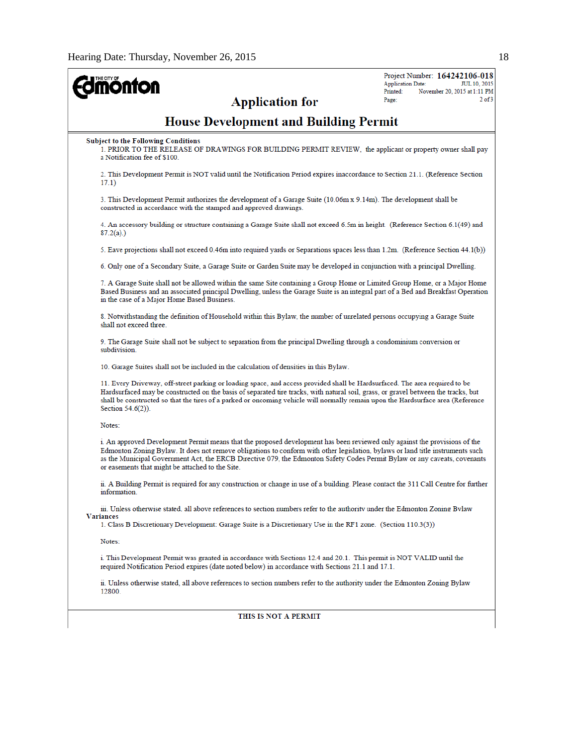| <b>oulou</b><br><b>Application for</b>                                                                                                                                                                                                                                                                                                                                                                                                        | Project Number: 164242106-018<br><b>Application Date:</b><br>JUL 10, 2015<br>Printed:<br>November 20, 2015 at 1:11 PM<br>$2$ of $3$<br>Page: |
|-----------------------------------------------------------------------------------------------------------------------------------------------------------------------------------------------------------------------------------------------------------------------------------------------------------------------------------------------------------------------------------------------------------------------------------------------|----------------------------------------------------------------------------------------------------------------------------------------------|
| <b>House Development and Building Permit</b>                                                                                                                                                                                                                                                                                                                                                                                                  |                                                                                                                                              |
| <b>Subject to the Following Conditions</b><br>1. PRIOR TO THE RELEASE OF DRAWINGS FOR BUILDING PERMIT REVIEW, the applicant or property owner shall pay<br>a Notification fee of \$100.                                                                                                                                                                                                                                                       |                                                                                                                                              |
| 2. This Development Permit is NOT valid until the Notification Period expires inaccordance to Section 21.1. (Reference Section<br>17.1)                                                                                                                                                                                                                                                                                                       |                                                                                                                                              |
| 3. This Development Permit authorizes the development of a Garage Suite (10.06m x 9.14m). The development shall be<br>constructed in accordance with the stamped and approved drawings.                                                                                                                                                                                                                                                       |                                                                                                                                              |
| 4. An accessory building or structure containing a Garage Suite shall not exceed 6.5m in height. (Reference Section 6.1(49) and<br>$87.2(a)$ .)                                                                                                                                                                                                                                                                                               |                                                                                                                                              |
| 5. Eave projections shall not exceed 0.46m into required yards or Separations spaces less than 1.2m. (Reference Section 44.1(b))                                                                                                                                                                                                                                                                                                              |                                                                                                                                              |
| 6. Only one of a Secondary Suite, a Garage Suite or Garden Suite may be developed in conjunction with a principal Dwelling.                                                                                                                                                                                                                                                                                                                   |                                                                                                                                              |
| 7. A Garage Suite shall not be allowed within the same Site containing a Group Home or Limited Group Home, or a Major Home<br>Based Business and an associated principal Dwelling, unless the Garage Suite is an integral part of a Bed and Breakfast Operation<br>in the case of a Major Home Based Business.                                                                                                                                |                                                                                                                                              |
| 8. Notwithstanding the definition of Household within this Bylaw, the number of unrelated persons occupying a Garage Suite<br>shall not exceed three.                                                                                                                                                                                                                                                                                         |                                                                                                                                              |
| 9. The Garage Suite shall not be subject to separation from the principal Dwelling through a condominium conversion or<br>subdivision.                                                                                                                                                                                                                                                                                                        |                                                                                                                                              |
| 10. Garage Suites shall not be included in the calculation of densities in this Bylaw.                                                                                                                                                                                                                                                                                                                                                        |                                                                                                                                              |
| 11. Every Driveway, off-street parking or loading space, and access provided shall be Hardsurfaced. The area required to be<br>Hardsurfaced may be constructed on the basis of separated tire tracks, with natural soil, grass, or gravel between the tracks, but<br>shall be constructed so that the tires of a parked or oncoming vehicle will normally remain upon the Hardsurface area (Reference<br>Section $54.6(2)$ ).                 |                                                                                                                                              |
| Notes:                                                                                                                                                                                                                                                                                                                                                                                                                                        |                                                                                                                                              |
| i. An approved Development Permit means that the proposed development has been reviewed only against the provisions of the<br>Edmonton Zoning Bylaw. It does not remove obligations to conform with other legislation, bylaws or land title instruments such<br>as the Municipal Government Act, the ERCB Directive 079, the Edmonton Safety Codes Permit Bylaw or any caveats, covenants<br>or easements that might be attached to the Site. |                                                                                                                                              |
| ii. A Building Permit is required for any construction or change in use of a building. Please contact the 311 Call Centre for further<br>information.                                                                                                                                                                                                                                                                                         |                                                                                                                                              |
| iii. Unless otherwise stated, all above references to section numbers refer to the authority under the Edmonton Zoning Bylaw<br><b>Variances</b>                                                                                                                                                                                                                                                                                              |                                                                                                                                              |
| 1. Class B Discretionary Development: Garage Suite is a Discretionary Use in the RF1 zone. (Section 110.3(3))                                                                                                                                                                                                                                                                                                                                 |                                                                                                                                              |
| Notes:                                                                                                                                                                                                                                                                                                                                                                                                                                        |                                                                                                                                              |
| i. This Development Permit was granted in accordance with Sections 12.4 and 20.1. This permit is NOT VALID until the<br>required Notification Period expires (date noted below) in accordance with Sections 21.1 and 17.1.                                                                                                                                                                                                                    |                                                                                                                                              |
| ii. Unless otherwise stated, all above references to section numbers refer to the authority under the Edmonton Zoning Bylaw<br>12800.                                                                                                                                                                                                                                                                                                         |                                                                                                                                              |
| THIS IS NOT A PERMIT                                                                                                                                                                                                                                                                                                                                                                                                                          |                                                                                                                                              |
|                                                                                                                                                                                                                                                                                                                                                                                                                                               |                                                                                                                                              |

#### THIS IS NOT A PERMIT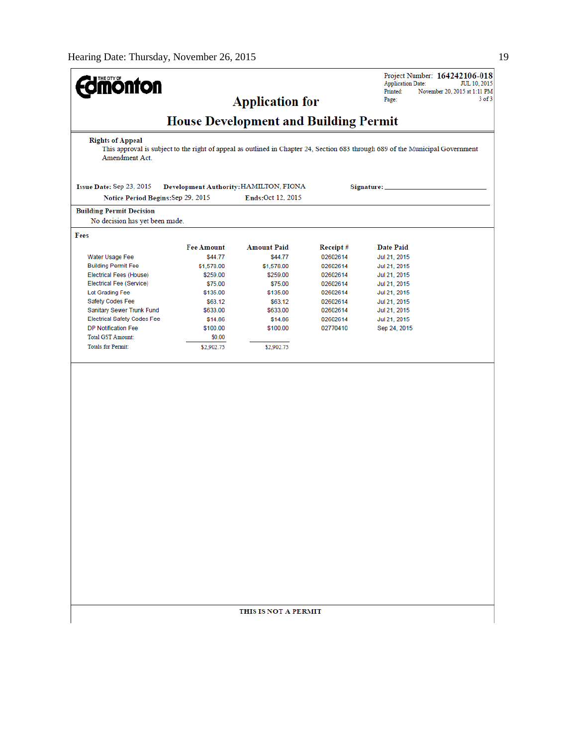| <b>monton</b>                                                     |                                                                                                                                                                                | <b>Application for</b>                 |                      | Project Number: 164242106-018<br><b>Application Date:</b><br>JUL 10, 2015<br>Printed:<br>November 20, 2015 at 1:11 PM<br>$3$ of $3$<br>Page: |
|-------------------------------------------------------------------|--------------------------------------------------------------------------------------------------------------------------------------------------------------------------------|----------------------------------------|----------------------|----------------------------------------------------------------------------------------------------------------------------------------------|
|                                                                   |                                                                                                                                                                                |                                        |                      |                                                                                                                                              |
| <b>Rights of Appeal</b><br>Amendment Act.                         | <b>House Development and Building Permit</b><br>This approval is subject to the right of appeal as outlined in Chapter 24, Section 683 through 689 of the Municipal Government |                                        |                      |                                                                                                                                              |
| Issue Date: Sep 23, 2015                                          |                                                                                                                                                                                | Development Authority: HAMILTON, FIONA |                      | Signature: _                                                                                                                                 |
| Notice Period Begins: Sep 29, 2015                                |                                                                                                                                                                                | Ends: Oct 12, 2015                     |                      |                                                                                                                                              |
| <b>Building Permit Decision</b><br>No decision has yet been made. |                                                                                                                                                                                |                                        |                      |                                                                                                                                              |
| Fees                                                              |                                                                                                                                                                                |                                        |                      |                                                                                                                                              |
|                                                                   | <b>Fee Amount</b>                                                                                                                                                              | <b>Amount Paid</b>                     | Receipt#             | <b>Date Paid</b>                                                                                                                             |
| Water Usage Fee                                                   | \$44.77                                                                                                                                                                        | \$44.77                                | 02602614             | Jul 21, 2015                                                                                                                                 |
| <b>Building Permit Fee</b>                                        | \$1,578.00                                                                                                                                                                     | \$1,578.00                             | 02602614             | Jul 21, 2015                                                                                                                                 |
| Electrical Fees (House)                                           | \$259.00                                                                                                                                                                       | \$259.00                               | 02602614             | Jul 21, 2015                                                                                                                                 |
| Electrical Fee (Service)                                          | \$75.00                                                                                                                                                                        | \$75.00                                | 02602614             | Jul 21, 2015                                                                                                                                 |
| Lot Grading Fee                                                   | \$135.00                                                                                                                                                                       | \$135.00                               | 02602614             | Jul 21, 2015                                                                                                                                 |
| Safety Codes Fee                                                  | \$63.12                                                                                                                                                                        | \$63.12                                | 02602614             | Jul 21, 2015                                                                                                                                 |
| Sanitary Sewer Trunk Fund<br><b>Electrical Safety Codes Fee</b>   | \$633.00<br>\$14.86                                                                                                                                                            | \$633.00<br>\$14.86                    | 02602614<br>02602614 | Jul 21, 2015<br>Jul 21, 2015                                                                                                                 |
| DP Notification Fee                                               | \$100.00                                                                                                                                                                       | \$100.00                               | 02770410             | Sep 24, 2015                                                                                                                                 |
| <b>Total GST Amount:</b>                                          | \$0.00                                                                                                                                                                         |                                        |                      |                                                                                                                                              |
| <b>Totals for Permit:</b>                                         | \$2,902.75                                                                                                                                                                     | \$2,902.75                             |                      |                                                                                                                                              |
|                                                                   |                                                                                                                                                                                |                                        |                      |                                                                                                                                              |
|                                                                   |                                                                                                                                                                                |                                        |                      |                                                                                                                                              |
|                                                                   |                                                                                                                                                                                |                                        |                      |                                                                                                                                              |
|                                                                   |                                                                                                                                                                                |                                        |                      |                                                                                                                                              |
|                                                                   |                                                                                                                                                                                |                                        |                      |                                                                                                                                              |
|                                                                   |                                                                                                                                                                                |                                        |                      |                                                                                                                                              |
|                                                                   |                                                                                                                                                                                |                                        |                      |                                                                                                                                              |
|                                                                   |                                                                                                                                                                                |                                        |                      |                                                                                                                                              |
|                                                                   |                                                                                                                                                                                |                                        |                      |                                                                                                                                              |
|                                                                   |                                                                                                                                                                                |                                        |                      |                                                                                                                                              |
|                                                                   |                                                                                                                                                                                |                                        |                      |                                                                                                                                              |
|                                                                   |                                                                                                                                                                                |                                        |                      |                                                                                                                                              |
|                                                                   |                                                                                                                                                                                |                                        |                      |                                                                                                                                              |
|                                                                   |                                                                                                                                                                                |                                        |                      |                                                                                                                                              |
|                                                                   |                                                                                                                                                                                |                                        |                      |                                                                                                                                              |
|                                                                   |                                                                                                                                                                                |                                        |                      |                                                                                                                                              |
|                                                                   |                                                                                                                                                                                |                                        |                      |                                                                                                                                              |
|                                                                   |                                                                                                                                                                                |                                        |                      |                                                                                                                                              |
|                                                                   |                                                                                                                                                                                |                                        |                      |                                                                                                                                              |
|                                                                   |                                                                                                                                                                                |                                        |                      |                                                                                                                                              |
|                                                                   |                                                                                                                                                                                |                                        |                      |                                                                                                                                              |
|                                                                   |                                                                                                                                                                                |                                        |                      |                                                                                                                                              |
|                                                                   |                                                                                                                                                                                |                                        |                      |                                                                                                                                              |
|                                                                   |                                                                                                                                                                                |                                        |                      |                                                                                                                                              |
|                                                                   |                                                                                                                                                                                |                                        |                      |                                                                                                                                              |
|                                                                   |                                                                                                                                                                                | THIS IS NOT A PERMIT                   |                      |                                                                                                                                              |
|                                                                   |                                                                                                                                                                                |                                        |                      |                                                                                                                                              |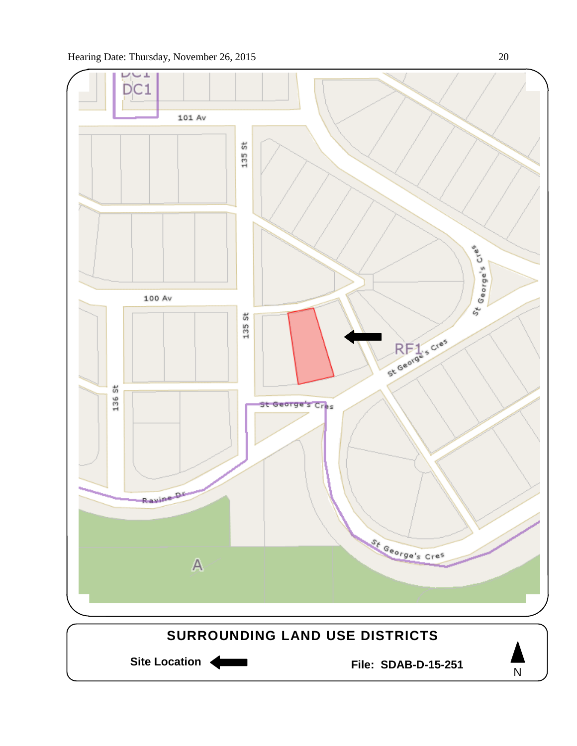